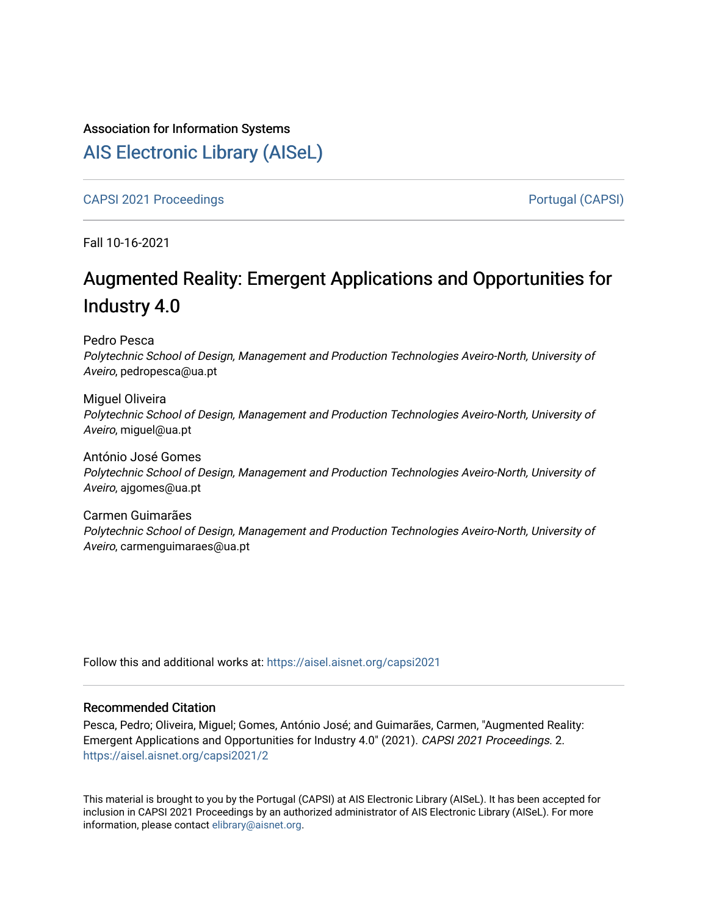# Association for Information Systems

# [AIS Electronic Library \(AISeL\)](https://aisel.aisnet.org/)

[CAPSI 2021 Proceedings](https://aisel.aisnet.org/capsi2021) **Portugal (CAPSI)** Portugal (CAPSI)

Fall 10-16-2021

# Augmented Reality: Emergent Applications and Opportunities for Industry 4.0

Pedro Pesca

Polytechnic School of Design, Management and Production Technologies Aveiro-North, University of Aveiro, pedropesca@ua.pt

Miguel Oliveira Polytechnic School of Design, Management and Production Technologies Aveiro-North, University of Aveiro, miguel@ua.pt

António José Gomes Polytechnic School of Design, Management and Production Technologies Aveiro-North, University of Aveiro, ajgomes@ua.pt

Carmen Guimarães Polytechnic School of Design, Management and Production Technologies Aveiro-North, University of Aveiro, carmenguimaraes@ua.pt

Follow this and additional works at: [https://aisel.aisnet.org/capsi2021](https://aisel.aisnet.org/capsi2021?utm_source=aisel.aisnet.org%2Fcapsi2021%2F2&utm_medium=PDF&utm_campaign=PDFCoverPages)

### Recommended Citation

Pesca, Pedro; Oliveira, Miguel; Gomes, António José; and Guimarães, Carmen, "Augmented Reality: Emergent Applications and Opportunities for Industry 4.0" (2021). CAPSI 2021 Proceedings. 2. [https://aisel.aisnet.org/capsi2021/2](https://aisel.aisnet.org/capsi2021/2?utm_source=aisel.aisnet.org%2Fcapsi2021%2F2&utm_medium=PDF&utm_campaign=PDFCoverPages)

This material is brought to you by the Portugal (CAPSI) at AIS Electronic Library (AISeL). It has been accepted for inclusion in CAPSI 2021 Proceedings by an authorized administrator of AIS Electronic Library (AISeL). For more information, please contact [elibrary@aisnet.org.](mailto:elibrary@aisnet.org%3E)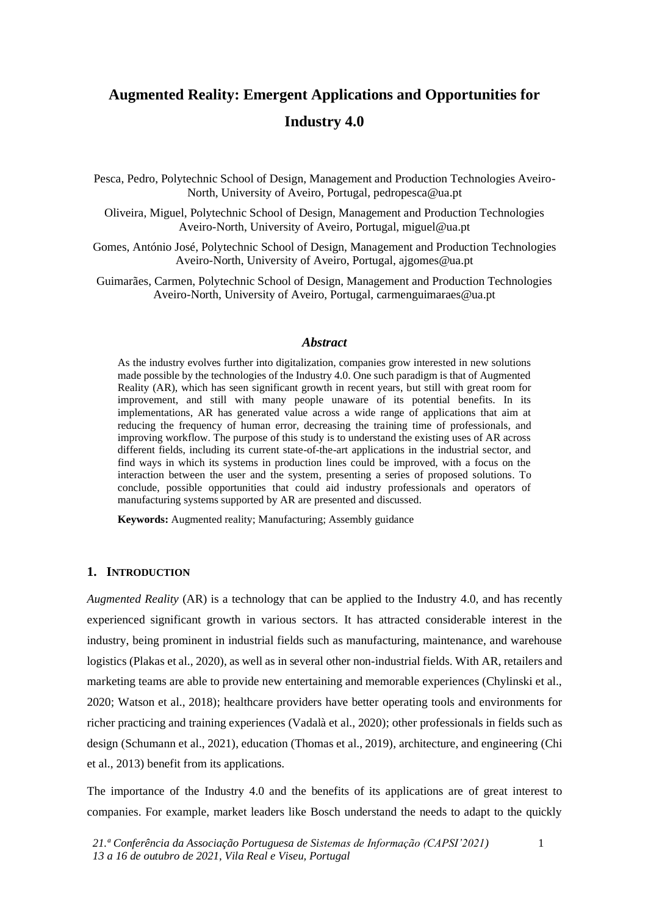# **Augmented Reality: Emergent Applications and Opportunities for Industry 4.0**

Pesca, Pedro, Polytechnic School of Design, Management and Production Technologies Aveiro-North, University of Aveiro, Portugal, pedropesca@ua.pt

Oliveira, Miguel, Polytechnic School of Design, Management and Production Technologies Aveiro-North, University of Aveiro, Portugal, [miguel@ua.pt](mailto:miguel@ua.pt)

Gomes, António José, Polytechnic School of Design, Management and Production Technologies Aveiro-North, University of Aveiro, Portugal, ajgomes@ua.pt

Guimarães, Carmen, Polytechnic School of Design, Management and Production Technologies Aveiro-North, University of Aveiro, Portugal, carmenguimaraes@ua.pt

#### *Abstract*

As the industry evolves further into digitalization, companies grow interested in new solutions made possible by the technologies of the Industry 4.0. One such paradigm is that of Augmented Reality (AR), which has seen significant growth in recent years, but still with great room for improvement, and still with many people unaware of its potential benefits. In its implementations, AR has generated value across a wide range of applications that aim at reducing the frequency of human error, decreasing the training time of professionals, and improving workflow. The purpose of this study is to understand the existing uses of AR across different fields, including its current state-of-the-art applications in the industrial sector, and find ways in which its systems in production lines could be improved, with a focus on the interaction between the user and the system, presenting a series of proposed solutions. To conclude, possible opportunities that could aid industry professionals and operators of manufacturing systems supported by AR are presented and discussed.

**Keywords:** Augmented reality; Manufacturing; Assembly guidance

#### **1. INTRODUCTION**

*Augmented Reality* (AR) is a technology that can be applied to the Industry 4.0, and has recently experienced significant growth in various sectors. It has attracted considerable interest in the industry, being prominent in industrial fields such as manufacturing, maintenance, and warehouse logistics (Plakas et al., 2020), as well as in several other non-industrial fields. With AR, retailers and marketing teams are able to provide new entertaining and memorable experiences (Chylinski et al., 2020; Watson et al., 2018); healthcare providers have better operating tools and environments for richer practicing and training experiences (Vadalà et al., 2020); other professionals in fields such as design (Schumann et al., 2021), education (Thomas et al., 2019), architecture, and engineering (Chi et al., 2013) benefit from its applications.

The importance of the Industry 4.0 and the benefits of its applications are of great interest to companies. For example, market leaders like Bosch understand the needs to adapt to the quickly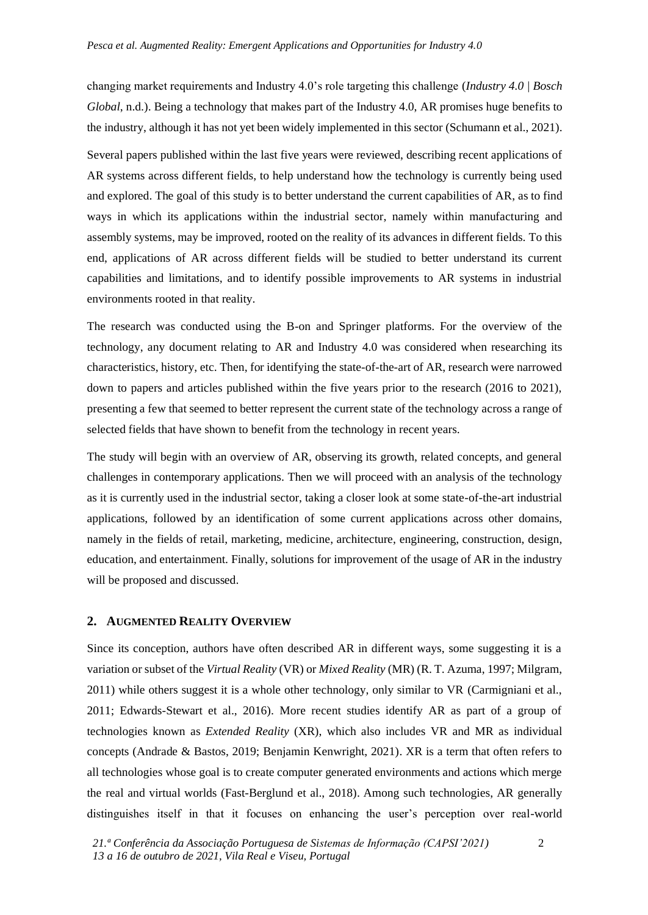changing market requirements and Industry 4.0's role targeting this challenge (*Industry 4.0 | Bosch Global*, n.d.). Being a technology that makes part of the Industry 4.0, AR promises huge benefits to the industry, although it has not yet been widely implemented in this sector (Schumann et al., 2021).

Several papers published within the last five years were reviewed, describing recent applications of AR systems across different fields, to help understand how the technology is currently being used and explored. The goal of this study is to better understand the current capabilities of AR, as to find ways in which its applications within the industrial sector, namely within manufacturing and assembly systems, may be improved, rooted on the reality of its advances in different fields. To this end, applications of AR across different fields will be studied to better understand its current capabilities and limitations, and to identify possible improvements to AR systems in industrial environments rooted in that reality.

The research was conducted using the B-on and Springer platforms. For the overview of the technology, any document relating to AR and Industry 4.0 was considered when researching its characteristics, history, etc. Then, for identifying the state-of-the-art of AR, research were narrowed down to papers and articles published within the five years prior to the research (2016 to 2021), presenting a few that seemed to better represent the current state of the technology across a range of selected fields that have shown to benefit from the technology in recent years.

The study will begin with an overview of AR, observing its growth, related concepts, and general challenges in contemporary applications. Then we will proceed with an analysis of the technology as it is currently used in the industrial sector, taking a closer look at some state-of-the-art industrial applications, followed by an identification of some current applications across other domains, namely in the fields of retail, marketing, medicine, architecture, engineering, construction, design, education, and entertainment. Finally, solutions for improvement of the usage of AR in the industry will be proposed and discussed.

#### **2. AUGMENTED REALITY OVERVIEW**

Since its conception, authors have often described AR in different ways, some suggesting it is a variation or subset of the *Virtual Reality* (VR) or *Mixed Reality* (MR) (R. T. Azuma, 1997; Milgram, 2011) while others suggest it is a whole other technology, only similar to VR (Carmigniani et al., 2011; Edwards-Stewart et al., 2016). More recent studies identify AR as part of a group of technologies known as *Extended Reality* (XR), which also includes VR and MR as individual concepts (Andrade & Bastos, 2019; Benjamin Kenwright, 2021). XR is a term that often refers to all technologies whose goal is to create computer generated environments and actions which merge the real and virtual worlds (Fast-Berglund et al., 2018). Among such technologies, AR generally distinguishes itself in that it focuses on enhancing the user's perception over real-world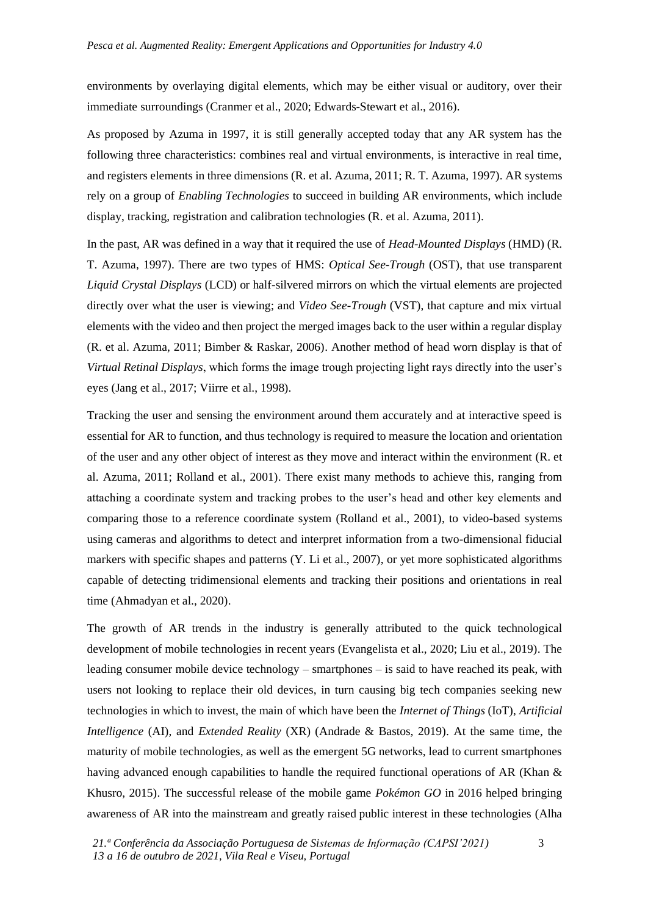environments by overlaying digital elements, which may be either visual or auditory, over their immediate surroundings (Cranmer et al., 2020; Edwards-Stewart et al., 2016).

As proposed by Azuma in 1997, it is still generally accepted today that any AR system has the following three characteristics: combines real and virtual environments, is interactive in real time, and registers elements in three dimensions (R. et al. Azuma, 2011; R. T. Azuma, 1997). AR systems rely on a group of *Enabling Technologies* to succeed in building AR environments, which include display, tracking, registration and calibration technologies (R. et al. Azuma, 2011).

In the past, AR was defined in a way that it required the use of *Head-Mounted Displays* (HMD) (R. T. Azuma, 1997). There are two types of HMS: *Optical See-Trough* (OST), that use transparent *Liquid Crystal Displays* (LCD) or half-silvered mirrors on which the virtual elements are projected directly over what the user is viewing; and *Video See-Trough* (VST), that capture and mix virtual elements with the video and then project the merged images back to the user within a regular display (R. et al. Azuma, 2011; Bimber & Raskar, 2006). Another method of head worn display is that of *Virtual Retinal Displays*, which forms the image trough projecting light rays directly into the user's eyes (Jang et al., 2017; Viirre et al., 1998).

Tracking the user and sensing the environment around them accurately and at interactive speed is essential for AR to function, and thus technology is required to measure the location and orientation of the user and any other object of interest as they move and interact within the environment (R. et al. Azuma, 2011; Rolland et al., 2001). There exist many methods to achieve this, ranging from attaching a coordinate system and tracking probes to the user's head and other key elements and comparing those to a reference coordinate system (Rolland et al., 2001), to video-based systems using cameras and algorithms to detect and interpret information from a two-dimensional fiducial markers with specific shapes and patterns (Y. Li et al., 2007), or yet more sophisticated algorithms capable of detecting tridimensional elements and tracking their positions and orientations in real time (Ahmadyan et al., 2020).

The growth of AR trends in the industry is generally attributed to the quick technological development of mobile technologies in recent years (Evangelista et al., 2020; Liu et al., 2019). The leading consumer mobile device technology – smartphones – is said to have reached its peak, with users not looking to replace their old devices, in turn causing big tech companies seeking new technologies in which to invest, the main of which have been the *Internet of Things* (IoT), *Artificial Intelligence* (AI), and *Extended Reality* (XR) (Andrade & Bastos, 2019). At the same time, the maturity of mobile technologies, as well as the emergent 5G networks, lead to current smartphones having advanced enough capabilities to handle the required functional operations of AR (Khan & Khusro, 2015). The successful release of the mobile game *Pokémon GO* in 2016 helped bringing awareness of AR into the mainstream and greatly raised public interest in these technologies (Alha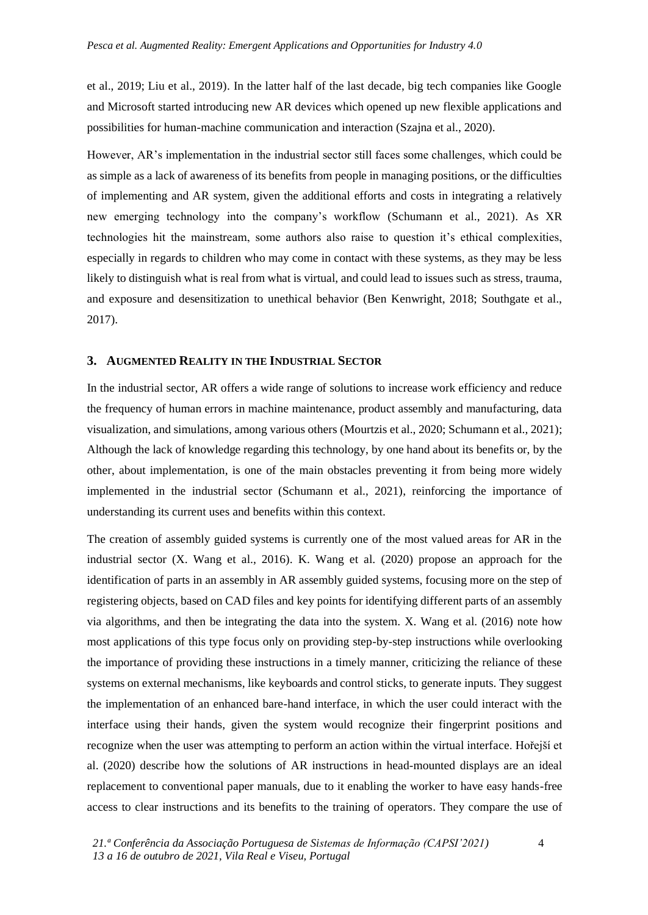et al., 2019; Liu et al., 2019). In the latter half of the last decade, big tech companies like Google and Microsoft started introducing new AR devices which opened up new flexible applications and possibilities for human-machine communication and interaction (Szajna et al., 2020).

However, AR's implementation in the industrial sector still faces some challenges, which could be as simple as a lack of awareness of its benefits from people in managing positions, or the difficulties of implementing and AR system, given the additional efforts and costs in integrating a relatively new emerging technology into the company's workflow (Schumann et al., 2021). As XR technologies hit the mainstream, some authors also raise to question it's ethical complexities, especially in regards to children who may come in contact with these systems, as they may be less likely to distinguish what is real from what is virtual, and could lead to issues such as stress, trauma, and exposure and desensitization to unethical behavior (Ben Kenwright, 2018; Southgate et al., 2017).

#### **3. AUGMENTED REALITY IN THE INDUSTRIAL SECTOR**

In the industrial sector, AR offers a wide range of solutions to increase work efficiency and reduce the frequency of human errors in machine maintenance, product assembly and manufacturing, data visualization, and simulations, among various others (Mourtzis et al., 2020; Schumann et al., 2021); Although the lack of knowledge regarding this technology, by one hand about its benefits or, by the other, about implementation, is one of the main obstacles preventing it from being more widely implemented in the industrial sector (Schumann et al., 2021), reinforcing the importance of understanding its current uses and benefits within this context.

The creation of assembly guided systems is currently one of the most valued areas for AR in the industrial sector (X. Wang et al., 2016). K. Wang et al. (2020) propose an approach for the identification of parts in an assembly in AR assembly guided systems, focusing more on the step of registering objects, based on CAD files and key points for identifying different parts of an assembly via algorithms, and then be integrating the data into the system. X. Wang et al. (2016) note how most applications of this type focus only on providing step-by-step instructions while overlooking the importance of providing these instructions in a timely manner, criticizing the reliance of these systems on external mechanisms, like keyboards and control sticks, to generate inputs. They suggest the implementation of an enhanced bare-hand interface, in which the user could interact with the interface using their hands, given the system would recognize their fingerprint positions and recognize when the user was attempting to perform an action within the virtual interface. Hořejší et al. (2020) describe how the solutions of AR instructions in head-mounted displays are an ideal replacement to conventional paper manuals, due to it enabling the worker to have easy hands-free access to clear instructions and its benefits to the training of operators. They compare the use of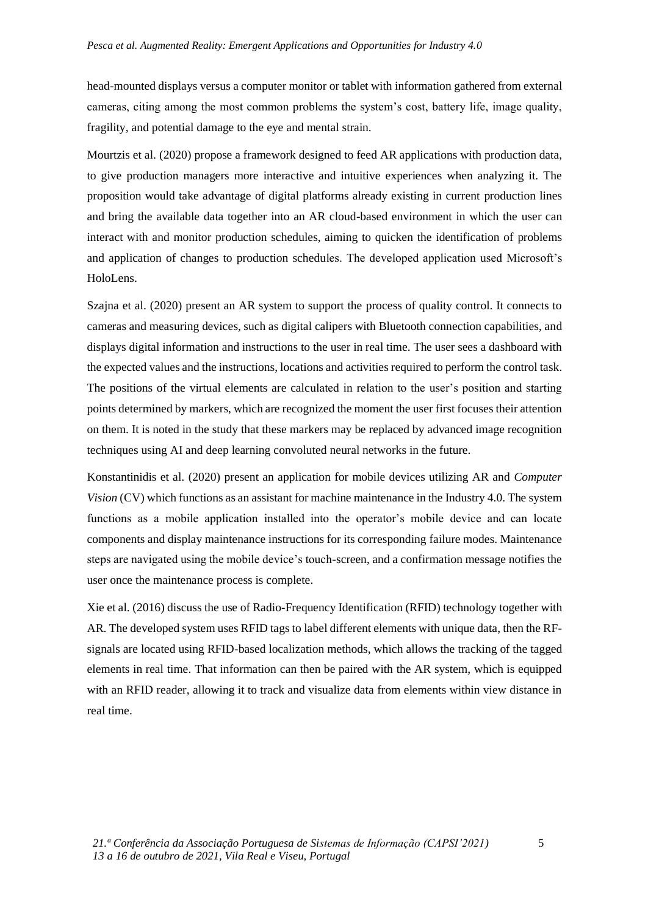head-mounted displays versus a computer monitor or tablet with information gathered from external cameras, citing among the most common problems the system's cost, battery life, image quality, fragility, and potential damage to the eye and mental strain.

Mourtzis et al. (2020) propose a framework designed to feed AR applications with production data, to give production managers more interactive and intuitive experiences when analyzing it. The proposition would take advantage of digital platforms already existing in current production lines and bring the available data together into an AR cloud-based environment in which the user can interact with and monitor production schedules, aiming to quicken the identification of problems and application of changes to production schedules. The developed application used Microsoft's HoloLens.

Szajna et al. (2020) present an AR system to support the process of quality control. It connects to cameras and measuring devices, such as digital calipers with Bluetooth connection capabilities, and displays digital information and instructions to the user in real time. The user sees a dashboard with the expected values and the instructions, locations and activities required to perform the control task. The positions of the virtual elements are calculated in relation to the user's position and starting points determined by markers, which are recognized the moment the user first focuses their attention on them. It is noted in the study that these markers may be replaced by advanced image recognition techniques using AI and deep learning convoluted neural networks in the future.

Konstantinidis et al. (2020) present an application for mobile devices utilizing AR and *Computer Vision* (CV) which functions as an assistant for machine maintenance in the Industry 4.0. The system functions as a mobile application installed into the operator's mobile device and can locate components and display maintenance instructions for its corresponding failure modes. Maintenance steps are navigated using the mobile device's touch-screen, and a confirmation message notifies the user once the maintenance process is complete.

Xie et al. (2016) discuss the use of Radio-Frequency Identification (RFID) technology together with AR. The developed system uses RFID tags to label different elements with unique data, then the RFsignals are located using RFID-based localization methods, which allows the tracking of the tagged elements in real time. That information can then be paired with the AR system, which is equipped with an RFID reader, allowing it to track and visualize data from elements within view distance in real time.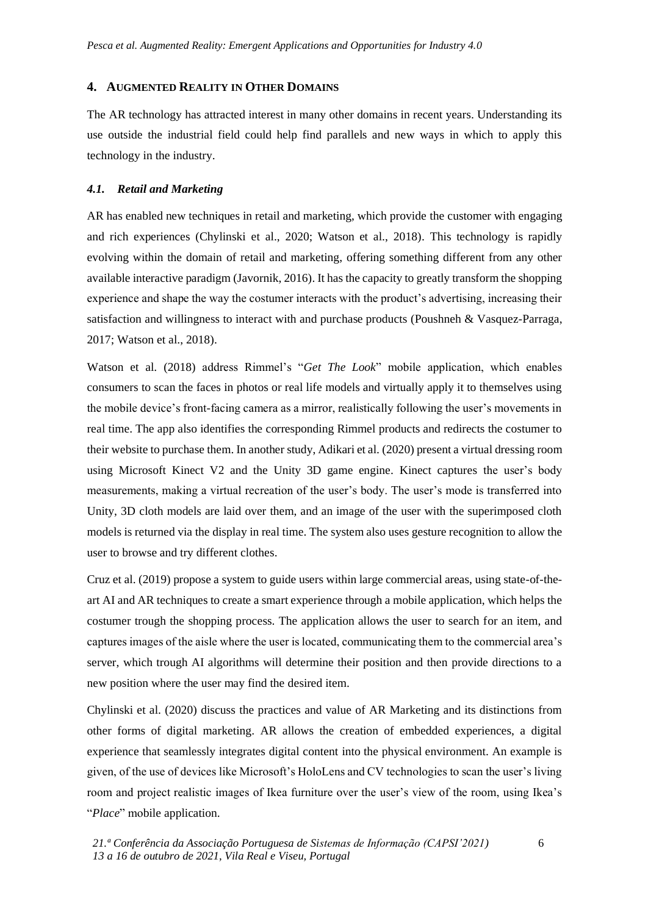# **4. AUGMENTED REALITY IN OTHER DOMAINS**

The AR technology has attracted interest in many other domains in recent years. Understanding its use outside the industrial field could help find parallels and new ways in which to apply this technology in the industry.

# *4.1. Retail and Marketing*

AR has enabled new techniques in retail and marketing, which provide the customer with engaging and rich experiences (Chylinski et al., 2020; Watson et al., 2018). This technology is rapidly evolving within the domain of retail and marketing, offering something different from any other available interactive paradigm (Javornik, 2016). It has the capacity to greatly transform the shopping experience and shape the way the costumer interacts with the product's advertising, increasing their satisfaction and willingness to interact with and purchase products (Poushneh & Vasquez-Parraga, 2017; Watson et al., 2018).

Watson et al. (2018) address Rimmel's "*Get The Look*" mobile application, which enables consumers to scan the faces in photos or real life models and virtually apply it to themselves using the mobile device's front-facing camera as a mirror, realistically following the user's movements in real time. The app also identifies the corresponding Rimmel products and redirects the costumer to their website to purchase them. In another study, Adikari et al. (2020) present a virtual dressing room using Microsoft Kinect V2 and the Unity 3D game engine. Kinect captures the user's body measurements, making a virtual recreation of the user's body. The user's mode is transferred into Unity, 3D cloth models are laid over them, and an image of the user with the superimposed cloth models is returned via the display in real time. The system also uses gesture recognition to allow the user to browse and try different clothes.

Cruz et al. (2019) propose a system to guide users within large commercial areas, using state-of-theart AI and AR techniques to create a smart experience through a mobile application, which helps the costumer trough the shopping process. The application allows the user to search for an item, and captures images of the aisle where the user is located, communicating them to the commercial area's server, which trough AI algorithms will determine their position and then provide directions to a new position where the user may find the desired item.

Chylinski et al. (2020) discuss the practices and value of AR Marketing and its distinctions from other forms of digital marketing. AR allows the creation of embedded experiences, a digital experience that seamlessly integrates digital content into the physical environment. An example is given, of the use of devices like Microsoft's HoloLens and CV technologies to scan the user's living room and project realistic images of Ikea furniture over the user's view of the room, using Ikea's "*Place*" mobile application.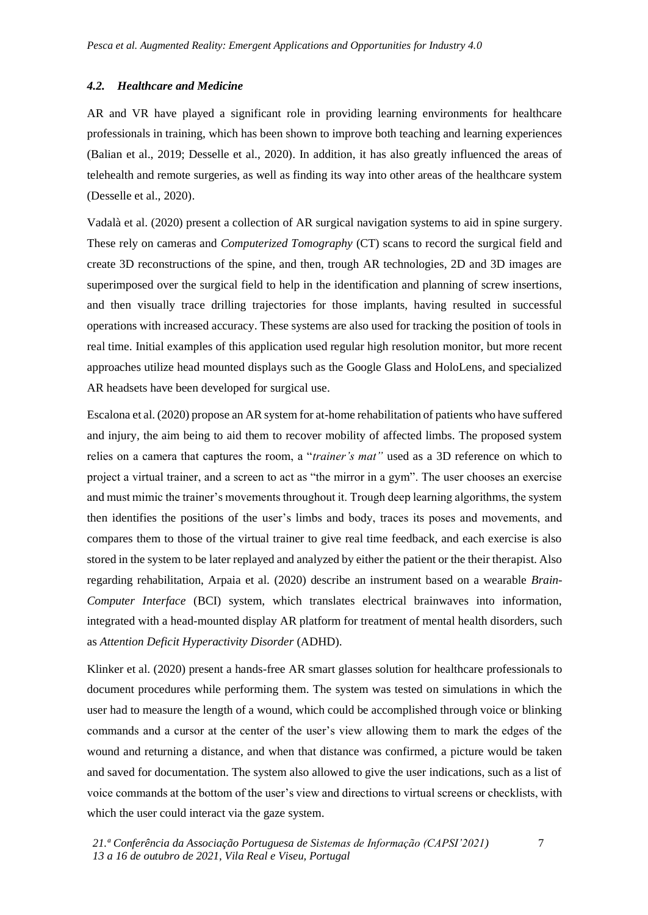#### *4.2. Healthcare and Medicine*

AR and VR have played a significant role in providing learning environments for healthcare professionals in training, which has been shown to improve both teaching and learning experiences (Balian et al., 2019; Desselle et al., 2020). In addition, it has also greatly influenced the areas of telehealth and remote surgeries, as well as finding its way into other areas of the healthcare system (Desselle et al., 2020).

Vadalà et al. (2020) present a collection of AR surgical navigation systems to aid in spine surgery. These rely on cameras and *Computerized Tomography* (CT) scans to record the surgical field and create 3D reconstructions of the spine, and then, trough AR technologies, 2D and 3D images are superimposed over the surgical field to help in the identification and planning of screw insertions, and then visually trace drilling trajectories for those implants, having resulted in successful operations with increased accuracy. These systems are also used for tracking the position of tools in real time. Initial examples of this application used regular high resolution monitor, but more recent approaches utilize head mounted displays such as the Google Glass and HoloLens, and specialized AR headsets have been developed for surgical use.

Escalona et al. (2020) propose an AR system for at-home rehabilitation of patients who have suffered and injury, the aim being to aid them to recover mobility of affected limbs. The proposed system relies on a camera that captures the room, a "*trainer's mat"* used as a 3D reference on which to project a virtual trainer, and a screen to act as "the mirror in a gym". The user chooses an exercise and must mimic the trainer's movements throughout it. Trough deep learning algorithms, the system then identifies the positions of the user's limbs and body, traces its poses and movements, and compares them to those of the virtual trainer to give real time feedback, and each exercise is also stored in the system to be later replayed and analyzed by either the patient or the their therapist. Also regarding rehabilitation, Arpaia et al. (2020) describe an instrument based on a wearable *Brain-Computer Interface* (BCI) system, which translates electrical brainwaves into information, integrated with a head-mounted display AR platform for treatment of mental health disorders, such as *Attention Deficit Hyperactivity Disorder* (ADHD).

Klinker et al. (2020) present a hands-free AR smart glasses solution for healthcare professionals to document procedures while performing them. The system was tested on simulations in which the user had to measure the length of a wound, which could be accomplished through voice or blinking commands and a cursor at the center of the user's view allowing them to mark the edges of the wound and returning a distance, and when that distance was confirmed, a picture would be taken and saved for documentation. The system also allowed to give the user indications, such as a list of voice commands at the bottom of the user's view and directions to virtual screens or checklists, with which the user could interact via the gaze system.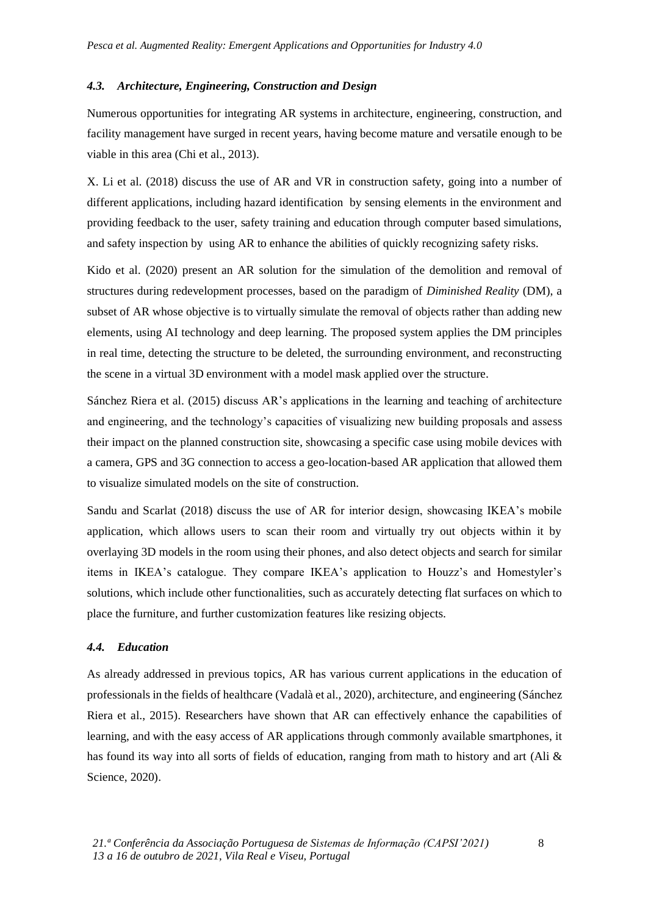## *4.3. Architecture, Engineering, Construction and Design*

Numerous opportunities for integrating AR systems in architecture, engineering, construction, and facility management have surged in recent years, having become mature and versatile enough to be viable in this area (Chi et al., 2013).

X. Li et al. (2018) discuss the use of AR and VR in construction safety, going into a number of different applications, including hazard identification by sensing elements in the environment and providing feedback to the user, safety training and education through computer based simulations, and safety inspection by using AR to enhance the abilities of quickly recognizing safety risks.

Kido et al. (2020) present an AR solution for the simulation of the demolition and removal of structures during redevelopment processes, based on the paradigm of *Diminished Reality* (DM), a subset of AR whose objective is to virtually simulate the removal of objects rather than adding new elements, using AI technology and deep learning. The proposed system applies the DM principles in real time, detecting the structure to be deleted, the surrounding environment, and reconstructing the scene in a virtual 3D environment with a model mask applied over the structure.

Sánchez Riera et al. (2015) discuss AR's applications in the learning and teaching of architecture and engineering, and the technology's capacities of visualizing new building proposals and assess their impact on the planned construction site, showcasing a specific case using mobile devices with a camera, GPS and 3G connection to access a geo-location-based AR application that allowed them to visualize simulated models on the site of construction.

Sandu and Scarlat (2018) discuss the use of AR for interior design, showcasing IKEA's mobile application, which allows users to scan their room and virtually try out objects within it by overlaying 3D models in the room using their phones, and also detect objects and search for similar items in IKEA's catalogue. They compare IKEA's application to Houzz's and Homestyler's solutions, which include other functionalities, such as accurately detecting flat surfaces on which to place the furniture, and further customization features like resizing objects.

# *4.4. Education*

As already addressed in previous topics, AR has various current applications in the education of professionals in the fields of healthcare (Vadalà et al., 2020), architecture, and engineering (Sánchez Riera et al., 2015). Researchers have shown that AR can effectively enhance the capabilities of learning, and with the easy access of AR applications through commonly available smartphones, it has found its way into all sorts of fields of education, ranging from math to history and art (Ali & Science, 2020).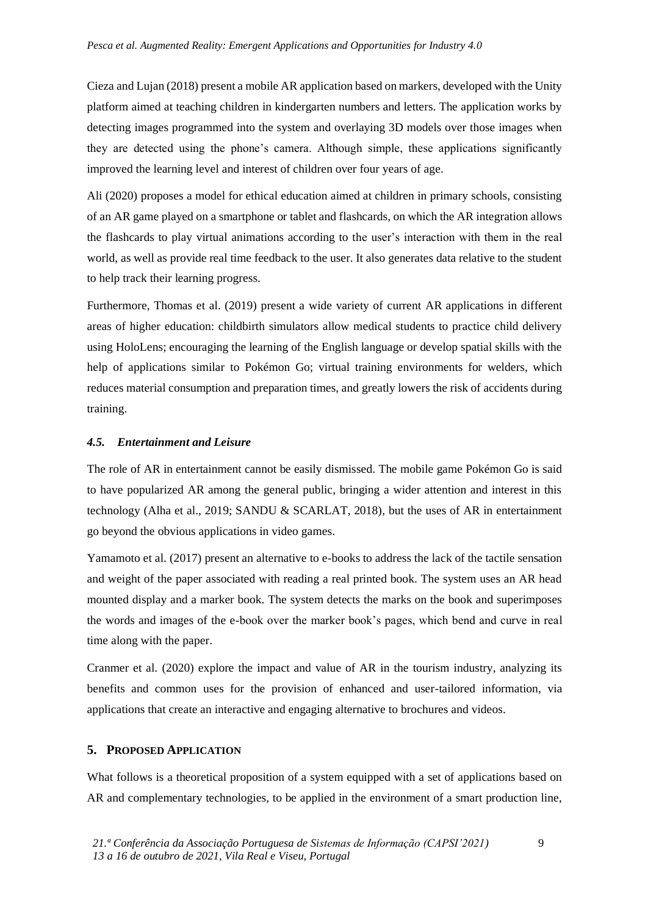Cieza and Lujan (2018) present a mobile AR application based on markers, developed with the Unity platform aimed at teaching children in kindergarten numbers and letters. The application works by detecting images programmed into the system and overlaying 3D models over those images when they are detected using the phone's camera. Although simple, these applications significantly improved the learning level and interest of children over four years of age.

Ali (2020) proposes a model for ethical education aimed at children in primary schools, consisting of an AR game played on a smartphone or tablet and flashcards, on which the AR integration allows the flashcards to play virtual animations according to the user's interaction with them in the real world, as well as provide real time feedback to the user. It also generates data relative to the student to help track their learning progress.

Furthermore, Thomas et al. (2019) present a wide variety of current AR applications in different areas of higher education: childbirth simulators allow medical students to practice child delivery using HoloLens; encouraging the learning of the English language or develop spatial skills with the help of applications similar to Pokémon Go; virtual training environments for welders, which reduces material consumption and preparation times, and greatly lowers the risk of accidents during training.

### *4.5. Entertainment and Leisure*

The role of AR in entertainment cannot be easily dismissed. The mobile game Pokémon Go is said to have popularized AR among the general public, bringing a wider attention and interest in this technology (Alha et al., 2019; SANDU & SCARLAT, 2018), but the uses of AR in entertainment go beyond the obvious applications in video games.

Yamamoto et al. (2017) present an alternative to e-books to address the lack of the tactile sensation and weight of the paper associated with reading a real printed book. The system uses an AR head mounted display and a marker book. The system detects the marks on the book and superimposes the words and images of the e-book over the marker book's pages, which bend and curve in real time along with the paper.

Cranmer et al. (2020) explore the impact and value of AR in the tourism industry, analyzing its benefits and common uses for the provision of enhanced and user-tailored information, via applications that create an interactive and engaging alternative to brochures and videos.

# **5. PROPOSED APPLICATION**

What follows is a theoretical proposition of a system equipped with a set of applications based on AR and complementary technologies, to be applied in the environment of a smart production line,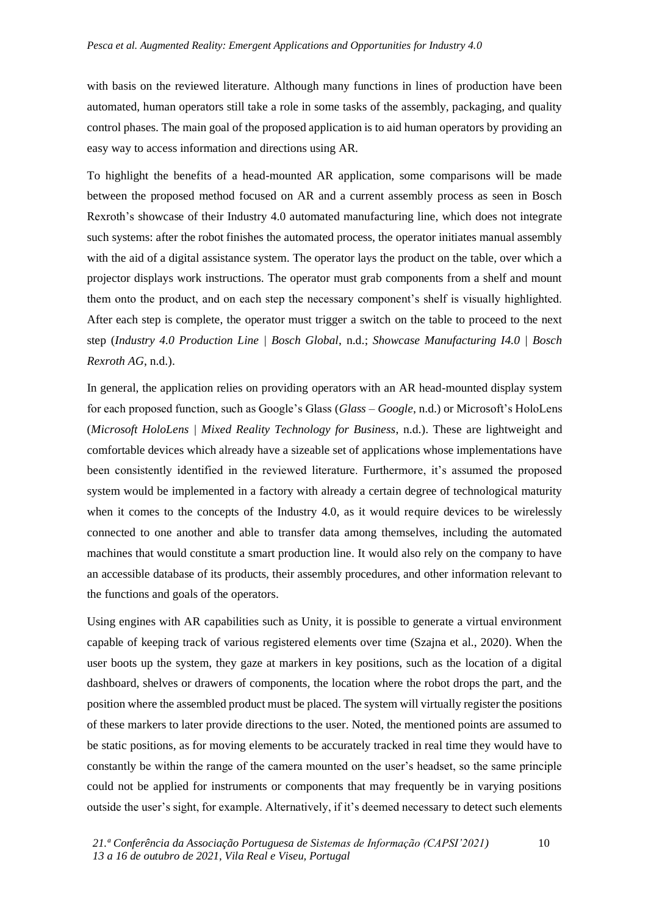with basis on the reviewed literature. Although many functions in lines of production have been automated, human operators still take a role in some tasks of the assembly, packaging, and quality control phases. The main goal of the proposed application is to aid human operators by providing an easy way to access information and directions using AR.

To highlight the benefits of a head-mounted AR application, some comparisons will be made between the proposed method focused on AR and a current assembly process as seen in Bosch Rexroth's showcase of their Industry 4.0 automated manufacturing line, which does not integrate such systems: after the robot finishes the automated process, the operator initiates manual assembly with the aid of a digital assistance system. The operator lays the product on the table, over which a projector displays work instructions. The operator must grab components from a shelf and mount them onto the product, and on each step the necessary component's shelf is visually highlighted. After each step is complete, the operator must trigger a switch on the table to proceed to the next step (*Industry 4.0 Production Line | Bosch Global*, n.d.; *Showcase Manufacturing I4.0 | Bosch Rexroth AG*, n.d.).

In general, the application relies on providing operators with an AR head-mounted display system for each proposed function, such as Google's Glass (*Glass – Google*, n.d.) or Microsoft's HoloLens (*Microsoft HoloLens | Mixed Reality Technology for Business*, n.d.). These are lightweight and comfortable devices which already have a sizeable set of applications whose implementations have been consistently identified in the reviewed literature. Furthermore, it's assumed the proposed system would be implemented in a factory with already a certain degree of technological maturity when it comes to the concepts of the Industry 4.0, as it would require devices to be wirelessly connected to one another and able to transfer data among themselves, including the automated machines that would constitute a smart production line. It would also rely on the company to have an accessible database of its products, their assembly procedures, and other information relevant to the functions and goals of the operators.

Using engines with AR capabilities such as Unity, it is possible to generate a virtual environment capable of keeping track of various registered elements over time (Szajna et al., 2020). When the user boots up the system, they gaze at markers in key positions, such as the location of a digital dashboard, shelves or drawers of components, the location where the robot drops the part, and the position where the assembled product must be placed. The system will virtually register the positions of these markers to later provide directions to the user. Noted, the mentioned points are assumed to be static positions, as for moving elements to be accurately tracked in real time they would have to constantly be within the range of the camera mounted on the user's headset, so the same principle could not be applied for instruments or components that may frequently be in varying positions outside the user's sight, for example. Alternatively, if it's deemed necessary to detect such elements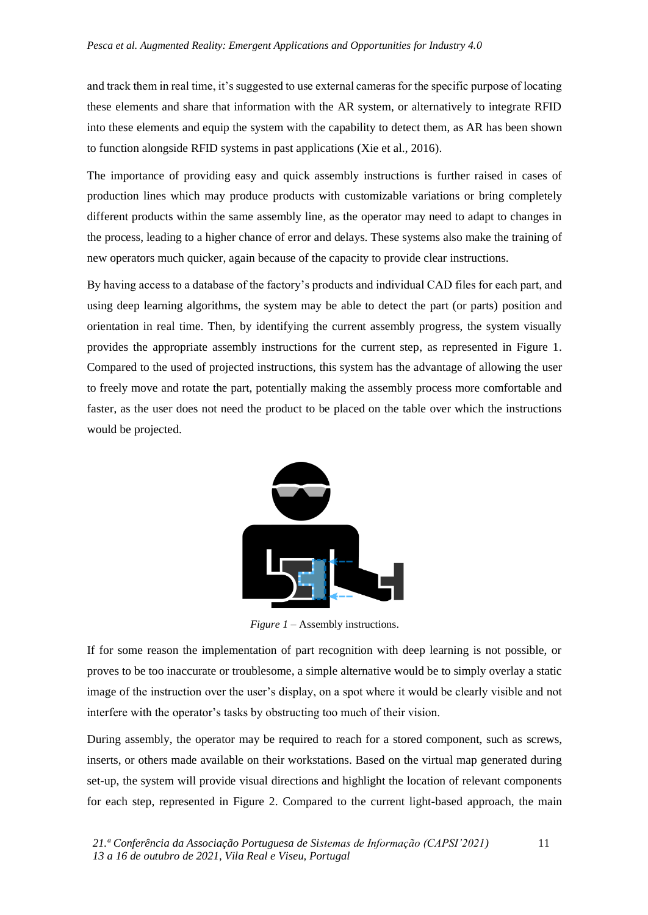and track them in real time, it's suggested to use external cameras for the specific purpose of locating these elements and share that information with the AR system, or alternatively to integrate RFID into these elements and equip the system with the capability to detect them, as AR has been shown to function alongside RFID systems in past applications (Xie et al., 2016).

The importance of providing easy and quick assembly instructions is further raised in cases of production lines which may produce products with customizable variations or bring completely different products within the same assembly line, as the operator may need to adapt to changes in the process, leading to a higher chance of error and delays. These systems also make the training of new operators much quicker, again because of the capacity to provide clear instructions.

By having access to a database of the factory's products and individual CAD files for each part, and using deep learning algorithms, the system may be able to detect the part (or parts) position and orientation in real time. Then, by identifying the current assembly progress, the system visually provides the appropriate assembly instructions for the current step, as represented in Figure 1. Compared to the used of projected instructions, this system has the advantage of allowing the user to freely move and rotate the part, potentially making the assembly process more comfortable and faster, as the user does not need the product to be placed on the table over which the instructions would be projected.



*Figure 1 –* Assembly instructions.

If for some reason the implementation of part recognition with deep learning is not possible, or proves to be too inaccurate or troublesome, a simple alternative would be to simply overlay a static image of the instruction over the user's display, on a spot where it would be clearly visible and not interfere with the operator's tasks by obstructing too much of their vision.

During assembly, the operator may be required to reach for a stored component, such as screws, inserts, or others made available on their workstations. Based on the virtual map generated during set-up, the system will provide visual directions and highlight the location of relevant components for each step, represented in Figure 2. Compared to the current light-based approach, the main

11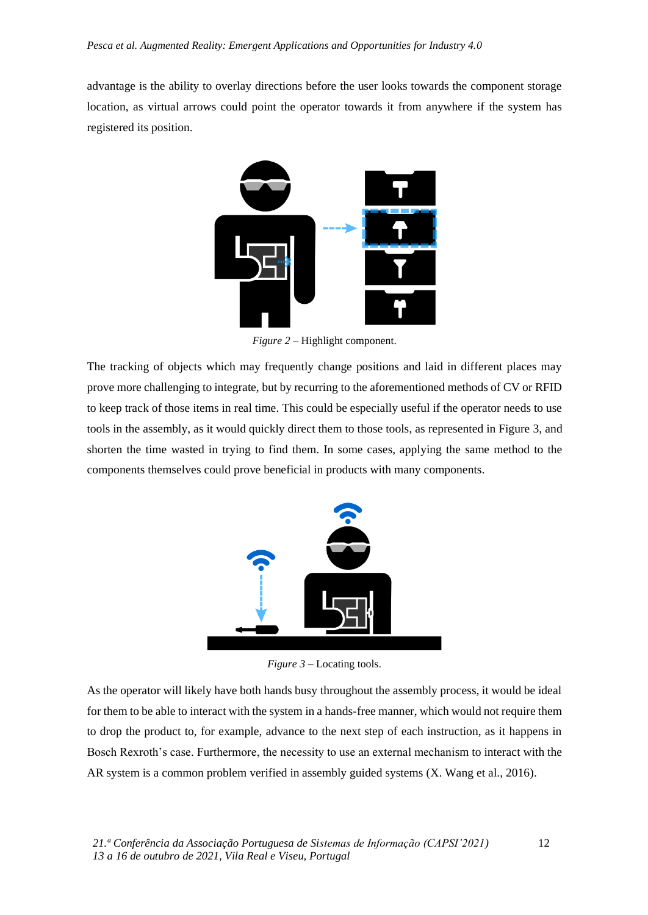advantage is the ability to overlay directions before the user looks towards the component storage location, as virtual arrows could point the operator towards it from anywhere if the system has registered its position.



*Figure 2 –* Highlight component.

The tracking of objects which may frequently change positions and laid in different places may prove more challenging to integrate, but by recurring to the aforementioned methods of CV or RFID to keep track of those items in real time. This could be especially useful if the operator needs to use tools in the assembly, as it would quickly direct them to those tools, as represented in Figure 3, and shorten the time wasted in trying to find them. In some cases, applying the same method to the components themselves could prove beneficial in products with many components.



*Figure 3* – Locating tools.

As the operator will likely have both hands busy throughout the assembly process, it would be ideal for them to be able to interact with the system in a hands-free manner, which would not require them to drop the product to, for example, advance to the next step of each instruction, as it happens in Bosch Rexroth's case. Furthermore, the necessity to use an external mechanism to interact with the AR system is a common problem verified in assembly guided systems (X. Wang et al., 2016).

12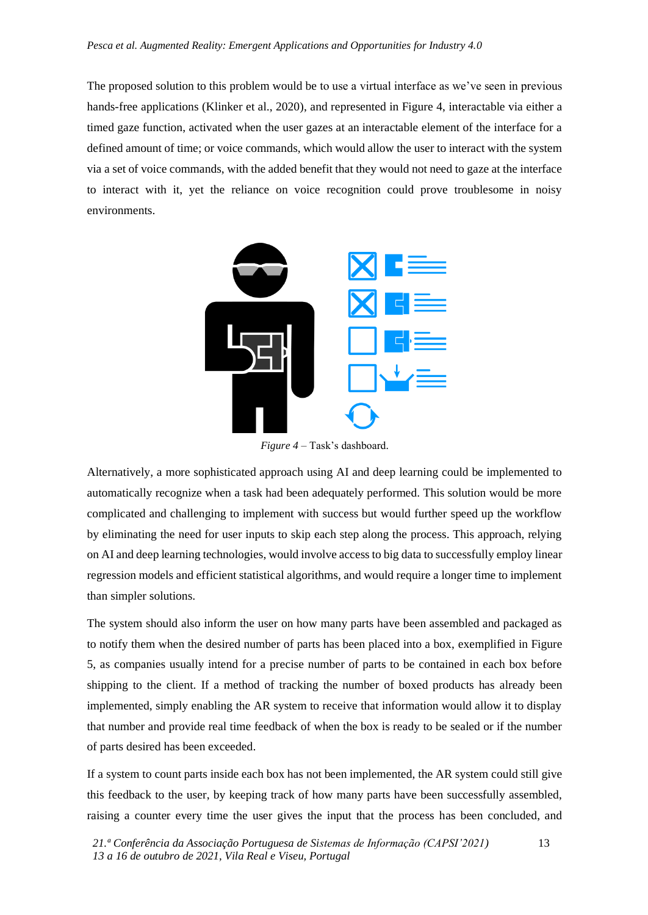The proposed solution to this problem would be to use a virtual interface as we've seen in previous hands-free applications (Klinker et al., 2020), and represented in Figure 4, interactable via either a timed gaze function, activated when the user gazes at an interactable element of the interface for a defined amount of time; or voice commands, which would allow the user to interact with the system via a set of voice commands, with the added benefit that they would not need to gaze at the interface to interact with it, yet the reliance on voice recognition could prove troublesome in noisy environments.



*Figure 4 –* Task's dashboard.

Alternatively, a more sophisticated approach using AI and deep learning could be implemented to automatically recognize when a task had been adequately performed. This solution would be more complicated and challenging to implement with success but would further speed up the workflow by eliminating the need for user inputs to skip each step along the process. This approach, relying on AI and deep learning technologies, would involve access to big data to successfully employ linear regression models and efficient statistical algorithms, and would require a longer time to implement than simpler solutions.

The system should also inform the user on how many parts have been assembled and packaged as to notify them when the desired number of parts has been placed into a box, exemplified in Figure 5, as companies usually intend for a precise number of parts to be contained in each box before shipping to the client. If a method of tracking the number of boxed products has already been implemented, simply enabling the AR system to receive that information would allow it to display that number and provide real time feedback of when the box is ready to be sealed or if the number of parts desired has been exceeded.

If a system to count parts inside each box has not been implemented, the AR system could still give this feedback to the user, by keeping track of how many parts have been successfully assembled, raising a counter every time the user gives the input that the process has been concluded, and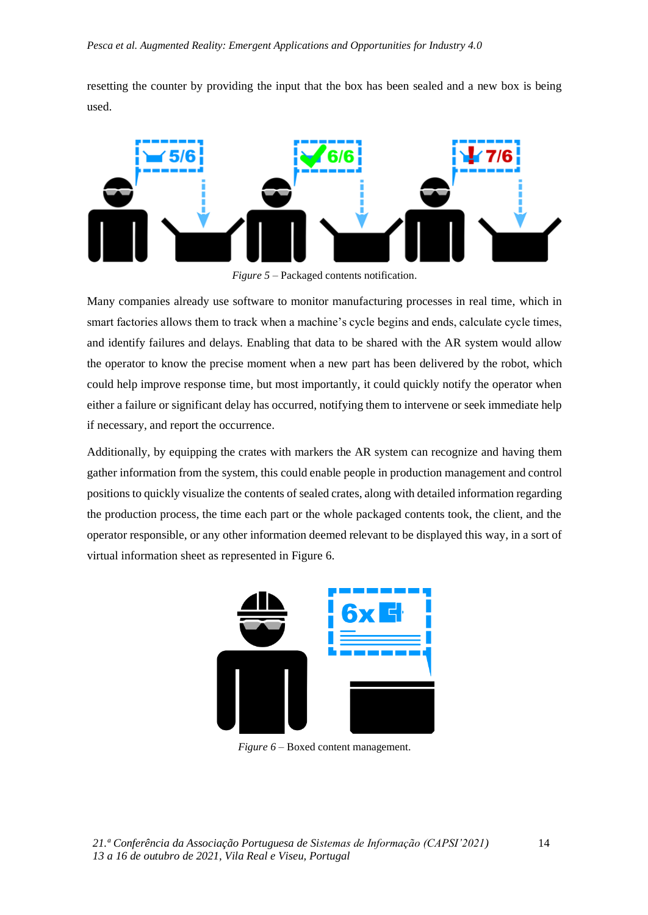resetting the counter by providing the input that the box has been sealed and a new box is being used.



*Figure 5 –* Packaged contents notification.

Many companies already use software to monitor manufacturing processes in real time, which in smart factories allows them to track when a machine's cycle begins and ends, calculate cycle times, and identify failures and delays. Enabling that data to be shared with the AR system would allow the operator to know the precise moment when a new part has been delivered by the robot, which could help improve response time, but most importantly, it could quickly notify the operator when either a failure or significant delay has occurred, notifying them to intervene or seek immediate help if necessary, and report the occurrence.

Additionally, by equipping the crates with markers the AR system can recognize and having them gather information from the system, this could enable people in production management and control positions to quickly visualize the contents of sealed crates, along with detailed information regarding the production process, the time each part or the whole packaged contents took, the client, and the operator responsible, or any other information deemed relevant to be displayed this way, in a sort of virtual information sheet as represented in Figure 6.



*Figure 6* – Boxed content management.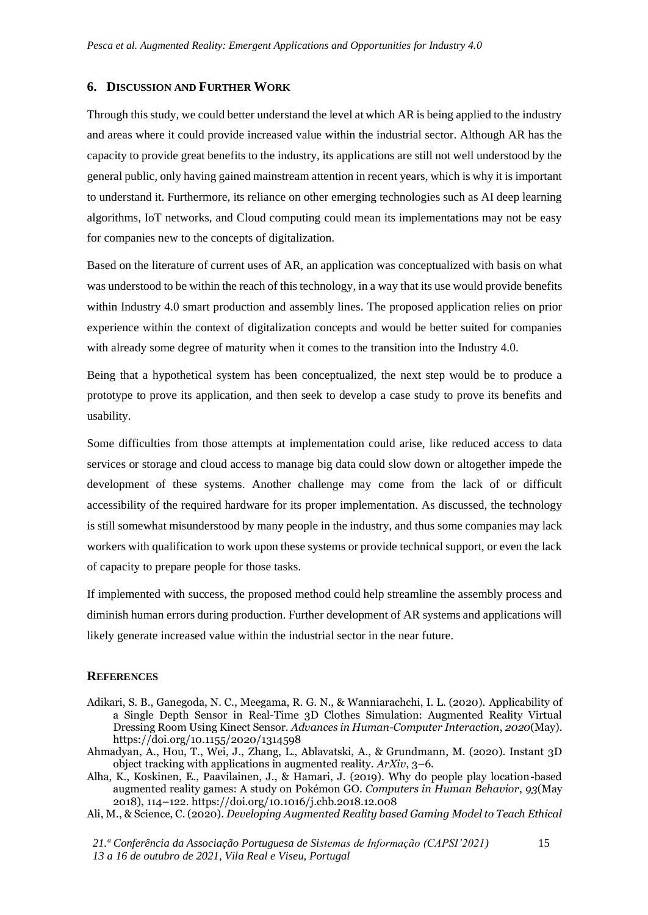#### **6. DISCUSSION AND FURTHER WORK**

Through this study, we could better understand the level at which AR is being applied to the industry and areas where it could provide increased value within the industrial sector. Although AR has the capacity to provide great benefits to the industry, its applications are still not well understood by the general public, only having gained mainstream attention in recent years, which is why it is important to understand it. Furthermore, its reliance on other emerging technologies such as AI deep learning algorithms, IoT networks, and Cloud computing could mean its implementations may not be easy for companies new to the concepts of digitalization.

Based on the literature of current uses of AR, an application was conceptualized with basis on what was understood to be within the reach of this technology, in a way that its use would provide benefits within Industry 4.0 smart production and assembly lines. The proposed application relies on prior experience within the context of digitalization concepts and would be better suited for companies with already some degree of maturity when it comes to the transition into the Industry 4.0.

Being that a hypothetical system has been conceptualized, the next step would be to produce a prototype to prove its application, and then seek to develop a case study to prove its benefits and usability.

Some difficulties from those attempts at implementation could arise, like reduced access to data services or storage and cloud access to manage big data could slow down or altogether impede the development of these systems. Another challenge may come from the lack of or difficult accessibility of the required hardware for its proper implementation. As discussed, the technology is still somewhat misunderstood by many people in the industry, and thus some companies may lack workers with qualification to work upon these systems or provide technical support, or even the lack of capacity to prepare people for those tasks.

If implemented with success, the proposed method could help streamline the assembly process and diminish human errors during production. Further development of AR systems and applications will likely generate increased value within the industrial sector in the near future.

#### **REFERENCES**

- Adikari, S. B., Ganegoda, N. C., Meegama, R. G. N., & Wanniarachchi, I. L. (2020). Applicability of a Single Depth Sensor in Real-Time 3D Clothes Simulation: Augmented Reality Virtual Dressing Room Using Kinect Sensor. *Advances in Human-Computer Interaction*, *2020*(May). https://doi.org/10.1155/2020/1314598
- Ahmadyan, A., Hou, T., Wei, J., Zhang, L., Ablavatski, A., & Grundmann, M. (2020). Instant 3D object tracking with applications in augmented reality. *ArXiv*, 3–6.
- Alha, K., Koskinen, E., Paavilainen, J., & Hamari, J. (2019). Why do people play location-based augmented reality games: A study on Pokémon GO. *Computers in Human Behavior*, *93*(May 2018), 114–122. https://doi.org/10.1016/j.chb.2018.12.008
- Ali, M., & Science, C. (2020). *Developing Augmented Reality based Gaming Model to Teach Ethical*

*21.ª Conferência da Associação Portuguesa de Sistemas de Informação (CAPSI'2021) 13 a 16 de outubro de 2021, Vila Real e Viseu, Portugal*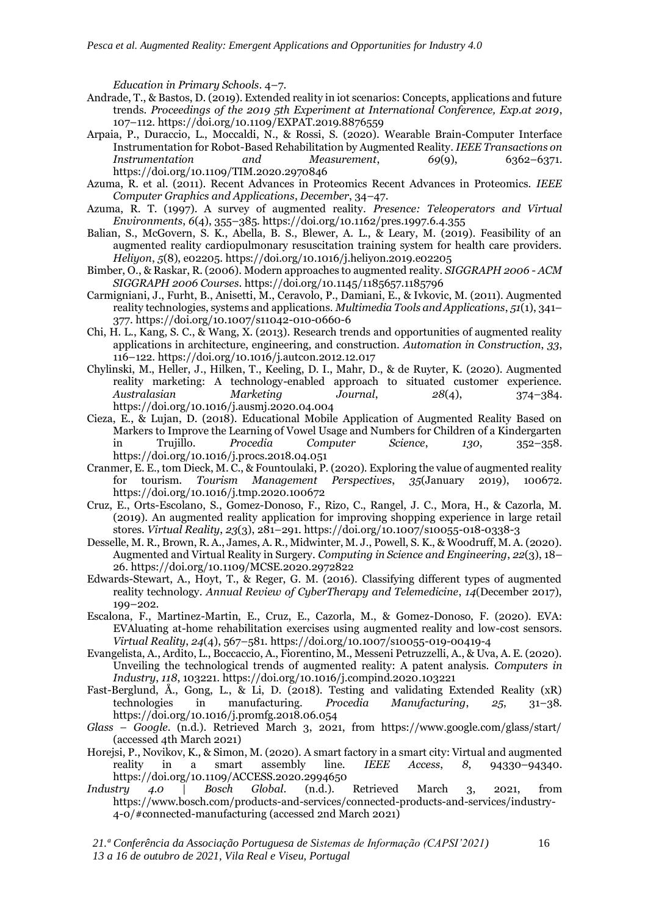*Education in Primary Schools*. 4–7.

- Andrade, T., & Bastos, D. (2019). Extended reality in iot scenarios: Concepts, applications and future trends. *Proceedings of the 2019 5th Experiment at International Conference, Exp.at 2019*, 107–112. https://doi.org/10.1109/EXPAT.2019.8876559
- Arpaia, P., Duraccio, L., Moccaldi, N., & Rossi, S. (2020). Wearable Brain-Computer Interface Instrumentation for Robot-Based Rehabilitation by Augmented Reality. *IEEE Transactions on Instrumentation and Measurement*, *69*(9), 6362–6371. https://doi.org/10.1109/TIM.2020.2970846
- Azuma, R. et al. (2011). Recent Advances in Proteomics Recent Advances in Proteomics. *IEEE Computer Graphics and Applications*, *December*, 34–47.
- Azuma, R. T. (1997). A survey of augmented reality. *Presence: Teleoperators and Virtual Environments*, *6*(4), 355–385. https://doi.org/10.1162/pres.1997.6.4.355
- Balian, S., McGovern, S. K., Abella, B. S., Blewer, A. L., & Leary, M. (2019). Feasibility of an augmented reality cardiopulmonary resuscitation training system for health care providers. *Heliyon*, *5*(8), e02205. https://doi.org/10.1016/j.heliyon.2019.e02205
- Bimber, O., & Raskar, R. (2006). Modern approaches to augmented reality. *SIGGRAPH 2006 - ACM SIGGRAPH 2006 Courses*. https://doi.org/10.1145/1185657.1185796
- Carmigniani, J., Furht, B., Anisetti, M., Ceravolo, P., Damiani, E., & Ivkovic, M. (2011). Augmented reality technologies, systems and applications. *Multimedia Tools and Applications*, *51*(1), 341– 377. https://doi.org/10.1007/s11042-010-0660-6
- Chi, H. L., Kang, S. C., & Wang, X. (2013). Research trends and opportunities of augmented reality applications in architecture, engineering, and construction. *Automation in Construction*, *33*, 116–122. https://doi.org/10.1016/j.autcon.2012.12.017
- Chylinski, M., Heller, J., Hilken, T., Keeling, D. I., Mahr, D., & de Ruyter, K. (2020). Augmented reality marketing: A technology-enabled approach to situated customer experience. *Australasian Marketing Journal*, *28*(4), 374–384. https://doi.org/10.1016/j.ausmj.2020.04.004
- Cieza, E., & Lujan, D. (2018). Educational Mobile Application of Augmented Reality Based on Markers to Improve the Learning of Vowel Usage and Numbers for Children of a Kindergarten in Trujillo. *Procedia Computer Science*, *130*, 352–358. https://doi.org/10.1016/j.procs.2018.04.051
- Cranmer, E. E., tom Dieck, M. C., & Fountoulaki, P. (2020). Exploring the value of augmented reality for tourism. *Tourism Management Perspectives*, *35*(January 2019), 100672. https://doi.org/10.1016/j.tmp.2020.100672
- Cruz, E., Orts-Escolano, S., Gomez-Donoso, F., Rizo, C., Rangel, J. C., Mora, H., & Cazorla, M. (2019). An augmented reality application for improving shopping experience in large retail stores. *Virtual Reality*, *23*(3), 281–291. https://doi.org/10.1007/s10055-018-0338-3
- Desselle, M. R., Brown, R. A., James, A. R., Midwinter, M. J., Powell, S. K., & Woodruff, M. A. (2020). Augmented and Virtual Reality in Surgery. *Computing in Science and Engineering*, *22*(3), 18– 26. https://doi.org/10.1109/MCSE.2020.2972822
- Edwards-Stewart, A., Hoyt, T., & Reger, G. M. (2016). Classifying different types of augmented reality technology. *Annual Review of CyberTherapy and Telemedicine*, *14*(December 2017), 199–202.
- Escalona, F., Martinez-Martin, E., Cruz, E., Cazorla, M., & Gomez-Donoso, F. (2020). EVA: EVAluating at-home rehabilitation exercises using augmented reality and low-cost sensors. *Virtual Reality*, *24*(4), 567–581. https://doi.org/10.1007/s10055-019-00419-4
- Evangelista, A., Ardito, L., Boccaccio, A., Fiorentino, M., Messeni Petruzzelli, A., & Uva, A. E. (2020). Unveiling the technological trends of augmented reality: A patent analysis. *Computers in Industry*, *118*, 103221. https://doi.org/10.1016/j.compind.2020.103221
- Fast-Berglund, Å., Gong, L., & Li, D. (2018). Testing and validating Extended Reality (xR) technologies in manufacturing. *Procedia Manufacturing*, *25*, 31–38. https://doi.org/10.1016/j.promfg.2018.06.054
- *Glass – Google*. (n.d.). Retrieved March 3, 2021, from https://www.google.com/glass/start/ (accessed 4th March 2021)
- Horejsi, P., Novikov, K., & Simon, M. (2020). A smart factory in a smart city: Virtual and augmented reality in a smart assembly line. *IEEE Access*, *8*, 94330–94340. https://doi.org/10.1109/ACCESS.2020.2994650
- *Industry 4.0 | Bosch Global*. (n.d.). Retrieved March 3, 2021, from https://www.bosch.com/products-and-services/connected-products-and-services/industry-4-0/#connected-manufacturing (accessed 2nd March 2021)

*21.ª Conferência da Associação Portuguesa de Sistemas de Informação (CAPSI'2021) 13 a 16 de outubro de 2021, Vila Real e Viseu, Portugal*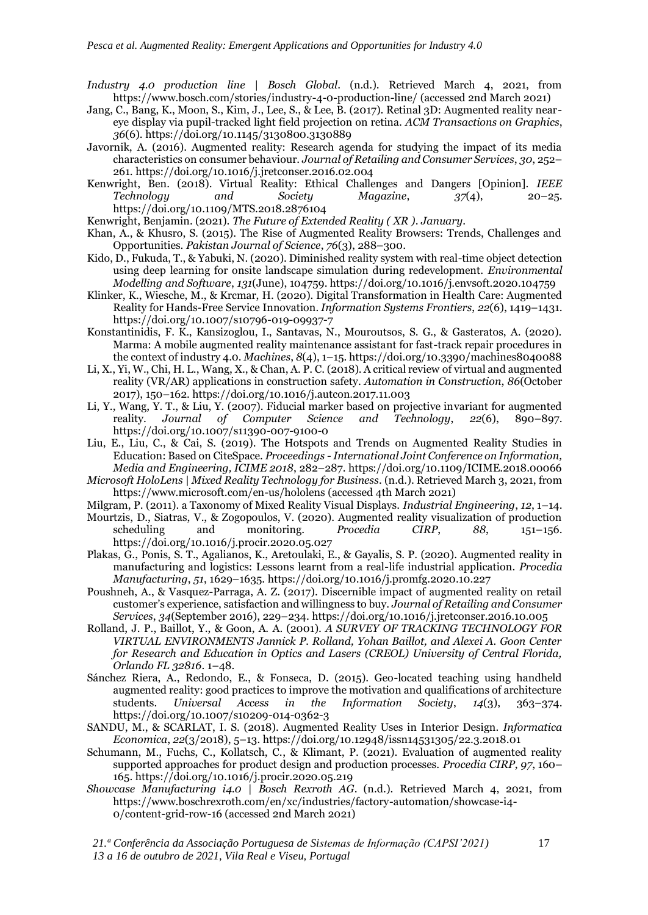- *Industry 4.0 production line | Bosch Global*. (n.d.). Retrieved March 4, 2021, from https://www.bosch.com/stories/industry-4-0-production-line/ (accessed 2nd March 2021)
- Jang, C., Bang, K., Moon, S., Kim, J., Lee, S., & Lee, B. (2017). Retinal 3D: Augmented reality neareye display via pupil-tracked light field projection on retina. *ACM Transactions on Graphics*, *36*(6). https://doi.org/10.1145/3130800.3130889
- Javornik, A. (2016). Augmented reality: Research agenda for studying the impact of its media characteristics on consumer behaviour. *Journal of Retailing and Consumer Services*, *30*, 252– 261. https://doi.org/10.1016/j.jretconser.2016.02.004
- Kenwright, Ben. (2018). Virtual Reality: Ethical Challenges and Dangers [Opinion]. *IEEE Technology and Society Magazine*, *37*(4), 20–25. https://doi.org/10.1109/MTS.2018.2876104

Kenwright, Benjamin. (2021). *The Future of Extended Reality ( XR )*. *January*.

- Khan, A., & Khusro, S. (2015). The Rise of Augmented Reality Browsers: Trends, Challenges and Opportunities. *Pakistan Journal of Science*, *76*(3), 288–300.
- Kido, D., Fukuda, T., & Yabuki, N. (2020). Diminished reality system with real-time object detection using deep learning for onsite landscape simulation during redevelopment. *Environmental Modelling and Software*, *131*(June), 104759. https://doi.org/10.1016/j.envsoft.2020.104759
- Klinker, K., Wiesche, M., & Krcmar, H. (2020). Digital Transformation in Health Care: Augmented Reality for Hands-Free Service Innovation. *Information Systems Frontiers*, *22*(6), 1419–1431. https://doi.org/10.1007/s10796-019-09937-7
- Konstantinidis, F. K., Kansizoglou, I., Santavas, N., Mouroutsos, S. G., & Gasteratos, A. (2020). Marma: A mobile augmented reality maintenance assistant for fast-track repair procedures in the context of industry 4.0. *Machines*, *8*(4), 1–15. https://doi.org/10.3390/machines8040088
- Li, X., Yi, W., Chi, H. L., Wang, X., & Chan, A. P. C. (2018). A critical review of virtual and augmented reality (VR/AR) applications in construction safety. *Automation in Construction*, *86*(October 2017), 150–162. https://doi.org/10.1016/j.autcon.2017.11.003
- Li, Y., Wang, Y. T., & Liu, Y. (2007). Fiducial marker based on projective invariant for augmented reality. *Journal of Computer Science and Technology*, *22*(6), 890–897. https://doi.org/10.1007/s11390-007-9100-0
- Liu, E., Liu, C., & Cai, S. (2019). The Hotspots and Trends on Augmented Reality Studies in Education: Based on CiteSpace. *Proceedings - International Joint Conference on Information, Media and Engineering, ICIME 2018*, 282–287. https://doi.org/10.1109/ICIME.2018.00066
- *Microsoft HoloLens | Mixed Reality Technology for Business*. (n.d.). Retrieved March 3, 2021, from https://www.microsoft.com/en-us/hololens (accessed 4th March 2021)
- Milgram, P. (2011). a Taxonomy of Mixed Reality Visual Displays. *Industrial Engineering*, *12*, 1–14.
- Mourtzis, D., Siatras, V., & Zogopoulos, V. (2020). Augmented reality visualization of production scheduling and monitoring. *Procedia CIRP*, *88*, 151–156. https://doi.org/10.1016/j.procir.2020.05.027
- Plakas, G., Ponis, S. T., Agalianos, K., Aretoulaki, E., & Gayalis, S. P. (2020). Augmented reality in manufacturing and logistics: Lessons learnt from a real-life industrial application. *Procedia Manufacturing*, *51*, 1629–1635. https://doi.org/10.1016/j.promfg.2020.10.227
- Poushneh, A., & Vasquez-Parraga, A. Z. (2017). Discernible impact of augmented reality on retail customer's experience, satisfaction and willingness to buy. *Journal of Retailing and Consumer Services*, *34*(September 2016), 229–234. https://doi.org/10.1016/j.jretconser.2016.10.005
- Rolland, J. P., Baillot, Y., & Goon, A. A. (2001). *A SURVEY OF TRACKING TECHNOLOGY FOR VIRTUAL ENVIRONMENTS Jannick P. Rolland, Yohan Baillot, and Alexei A. Goon Center for Research and Education in Optics and Lasers (CREOL) University of Central Florida, Orlando FL 32816*. 1–48.
- Sánchez Riera, A., Redondo, E., & Fonseca, D. (2015). Geo-located teaching using handheld augmented reality: good practices to improve the motivation and qualifications of architecture students. *Universal Access in the Information Society*, *14*(3), 363–374. https://doi.org/10.1007/s10209-014-0362-3
- SANDU, M., & SCARLAT, I. S. (2018). Augmented Reality Uses in Interior Design. *Informatica Economica*, *22*(3/2018), 5–13. https://doi.org/10.12948/issn14531305/22.3.2018.01
- Schumann, M., Fuchs, C., Kollatsch, C., & Klimant, P. (2021). Evaluation of augmented reality supported approaches for product design and production processes. *Procedia CIRP*, *97*, 160– 165. https://doi.org/10.1016/j.procir.2020.05.219
- *Showcase Manufacturing i4.0 | Bosch Rexroth AG*. (n.d.). Retrieved March 4, 2021, from https://www.boschrexroth.com/en/xc/industries/factory-automation/showcase-i4- 0/content-grid-row-16 (accessed 2nd March 2021)

*21.ª Conferência da Associação Portuguesa de Sistemas de Informação (CAPSI'2021) 13 a 16 de outubro de 2021, Vila Real e Viseu, Portugal*